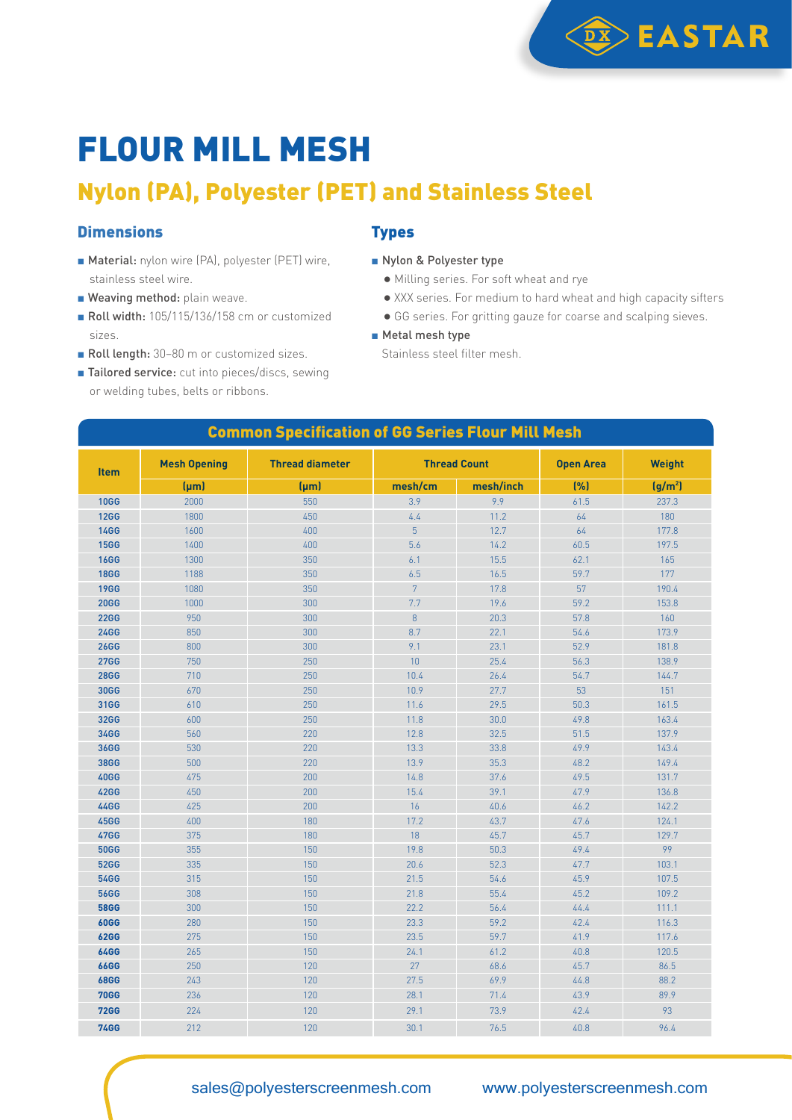

## FLOUR MILL MESH

### Nylon (PA), Polyester (PET) and Stainless Steel

#### **Dimensions**

- Material: nylon wire (PA), polyester (PET) wire, stainless steel wire.
- **Weaving method:** plain weave.
- Roll width: 105/115/136/158 cm or customized sizes.
- Roll length: 30-80 m or customized sizes.
- Tailored service: cut into pieces/discs, sewing or welding tubes, belts or ribbons.

#### **Types**

- Nylon & Polyester type
	- Milling series. For soft wheat and rye
	- XXX series. For medium to hard wheat and high capacity sifters
	- GG series. For gritting gauze for coarse and scalping sieves.
- Metal mesh type

Stainless steel filter mesh.

| <b>Common Specification of GG Series Flour Mill Mesh</b> |                     |                        |                     |           |                  |                     |  |
|----------------------------------------------------------|---------------------|------------------------|---------------------|-----------|------------------|---------------------|--|
| <b>Item</b>                                              | <b>Mesh Opening</b> | <b>Thread diameter</b> | <b>Thread Count</b> |           | <b>Open Area</b> | <b>Weight</b>       |  |
|                                                          | [µm]                | $(\mu m)$              | mesh/cm             | mesh/inch | (%)              | (g/m <sup>2</sup> ) |  |
| <b>10GG</b>                                              | 2000                | 550                    | 3.9                 | 9.9       | 61.5             | 237.3               |  |
| <b>12GG</b>                                              | 1800                | 450                    | 4.4                 | 11.2      | 64               | 180                 |  |
| <b>14GG</b>                                              | 1600                | 400                    | 5                   | 12.7      | 64               | 177.8               |  |
| <b>15GG</b>                                              | 1400                | 400                    | 5.6                 | 14.2      | 60.5             | 197.5               |  |
| <b>16GG</b>                                              | 1300                | 350                    | 6.1                 | 15.5      | 62.1             | 165                 |  |
| <b>18GG</b>                                              | 1188                | 350                    | 6.5                 | 16.5      | 59.7             | 177                 |  |
| <b>19GG</b>                                              | 1080                | 350                    | $\overline{7}$      | 17.8      | 57               | 190.4               |  |
| <b>20GG</b>                                              | 1000                | 300                    | 7.7                 | 19.6      | 59.2             | 153.8               |  |
| <b>22GG</b>                                              | 950                 | 300                    | 8                   | 20.3      | 57.8             | 160                 |  |
| <b>24GG</b>                                              | 850                 | 300                    | 8.7                 | 22.1      | 54.6             | 173.9               |  |
| <b>26GG</b>                                              | 800                 | 300                    | 9.1                 | 23.1      | 52.9             | 181.8               |  |
| <b>27GG</b>                                              | 750                 | 250                    | 10                  | 25.4      | 56.3             | 138.9               |  |
| <b>28GG</b>                                              | 710                 | 250                    | 10.4                | 26.4      | 54.7             | 144.7               |  |
| <b>30GG</b>                                              | 670                 | 250                    | 10.9                | 27.7      | 53               | 151                 |  |
| 31GG                                                     | 610                 | 250                    | 11.6                | 29.5      | 50.3             | 161.5               |  |
| <b>32GG</b>                                              | 600                 | 250                    | 11.8                | 30.0      | 49.8             | 163.4               |  |
| 34GG                                                     | 560                 | 220                    | 12.8                | 32.5      | 51.5             | 137.9               |  |
| <b>36GG</b>                                              | 530                 | 220                    | 13.3                | 33.8      | 49.9             | 143.4               |  |
| <b>38GG</b>                                              | 500                 | 220                    | 13.9                | 35.3      | 48.2             | 149.4               |  |
| <b>40GG</b>                                              | 475                 | 200                    | 14.8                | 37.6      | 49.5             | 131.7               |  |
| <b>42GG</b>                                              | 450                 | 200                    | 15.4                | 39.1      | 47.9             | 136.8               |  |
| 44GG                                                     | 425                 | 200                    | 16                  | 40.6      | 46.2             | 142.2               |  |
| <b>45GG</b>                                              | 400                 | 180                    | 17.2                | 43.7      | 47.6             | 124.1               |  |
| <b>47GG</b>                                              | 375                 | 180                    | 18                  | 45.7      | 45.7             | 129.7               |  |
| <b>50GG</b>                                              | 355                 | 150                    | 19.8                | 50.3      | 49.4             | 99                  |  |
| <b>52GG</b>                                              | 335                 | 150                    | 20.6                | 52.3      | 47.7             | 103.1               |  |
| <b>54GG</b>                                              | 315                 | 150                    | 21.5                | 54.6      | 45.9             | 107.5               |  |
| <b>56GG</b>                                              | 308                 | 150                    | 21.8                | 55.4      | 45.2             | 109.2               |  |
| <b>58GG</b>                                              | 300                 | 150                    | 22.2                | 56.4      | 44.4             | 111.1               |  |
| <b>60GG</b>                                              | 280                 | 150                    | 23.3                | 59.2      | 42.4             | 116.3               |  |
| <b>62GG</b>                                              | 275                 | 150                    | 23.5                | 59.7      | 41.9             | 117.6               |  |
| <b>64GG</b>                                              | 265                 | 150                    | 24.1                | 61.2      | 40.8             | 120.5               |  |
| <b>66GG</b>                                              | 250                 | 120                    | 27                  | 68.6      | 45.7             | 86.5                |  |
| <b>68GG</b>                                              | 243                 | 120                    | 27.5                | 69.9      | 44.8             | 88.2                |  |
| <b>70GG</b>                                              | 236                 | 120                    | 28.1                | 71.4      | 43.9             | 89.9                |  |
| <b>72GG</b>                                              | 224                 | 120                    | 29.1                | 73.9      | 42.4             | 93                  |  |
| <b>74GG</b>                                              | 212                 | 120                    | 30.1                | 76.5      | 40.8             | 96.4                |  |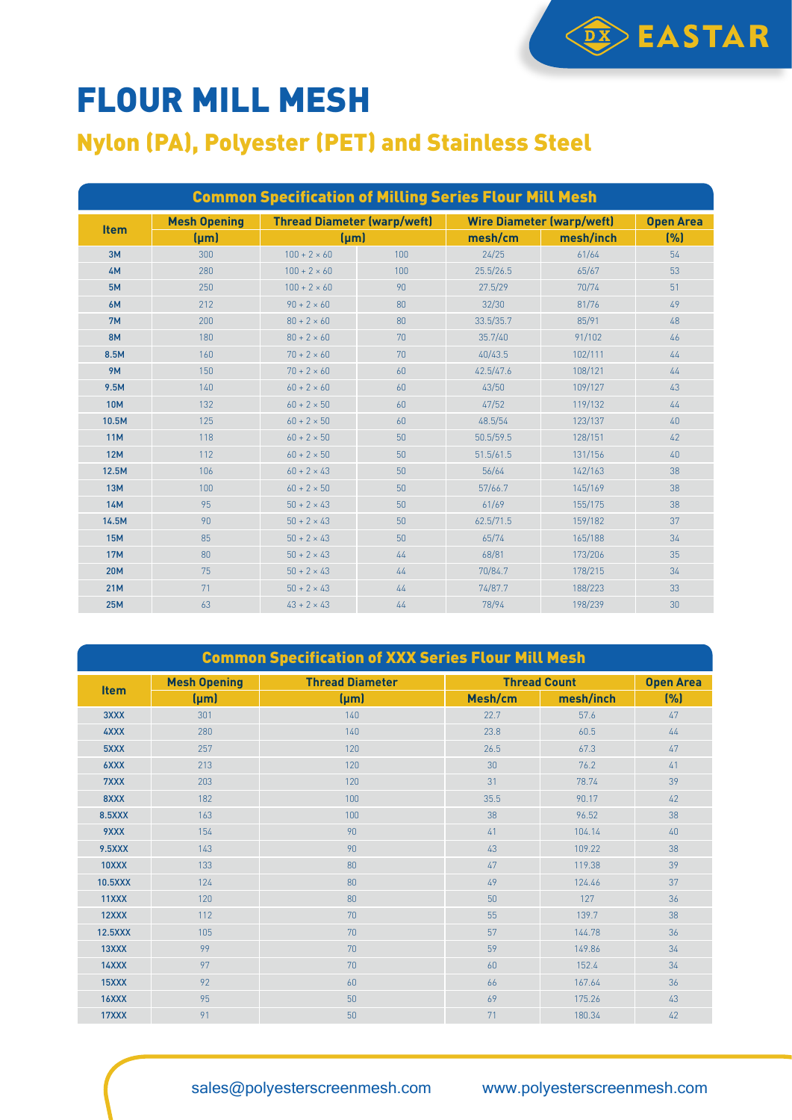# FLOUR MILL MESH

#### Nylon (PA), Polyester (PET) and Stainless Steel

| <b>Common Specification of Milling Series Flour Mill Mesh</b> |                     |                                    |     |                                  |           |                  |  |
|---------------------------------------------------------------|---------------------|------------------------------------|-----|----------------------------------|-----------|------------------|--|
| <b>Item</b>                                                   | <b>Mesh Opening</b> | <b>Thread Diameter (warp/weft)</b> |     | <b>Wire Diameter (warp/weft)</b> |           | <b>Open Area</b> |  |
|                                                               | ${\rm (µm)}$        | $(\mu m)$                          |     | mesh/cm                          | mesh/inch | (%)              |  |
| 3M                                                            | 300                 | $100 + 2 \times 60$                | 100 | 24/25                            | 61/64     | 54               |  |
| 4M                                                            | 280                 | $100 + 2 \times 60$                | 100 | 25.5/26.5                        | 65/67     | 53               |  |
| 5M                                                            | 250                 | $100 + 2 \times 60$                | 90  | 27.5/29                          | 70/74     | 51               |  |
| 6M                                                            | 212                 | $90 + 2 \times 60$                 | 80  | 32/30                            | 81/76     | 49               |  |
| 7M                                                            | 200                 | $80 + 2 \times 60$                 | 80  | 33.5/35.7                        | 85/91     | 48               |  |
| <b>8M</b>                                                     | 180                 | $80 + 2 \times 60$                 | 70  | 35.7/40                          | 91/102    | 46               |  |
| 8.5M                                                          | 160                 | $70 + 2 \times 60$                 | 70  | 40/43.5                          | 102/111   | 44               |  |
| <b>9M</b>                                                     | 150                 | $70 + 2 \times 60$                 | 60  | 42.5/47.6                        | 108/121   | 44               |  |
| 9.5M                                                          | 140                 | $60 + 2 \times 60$                 | 60  | 43/50                            | 109/127   | 43               |  |
| <b>10M</b>                                                    | 132                 | $60 + 2 \times 50$                 | 60  | 47/52                            | 119/132   | 44               |  |
| 10.5M                                                         | 125                 | $60 + 2 \times 50$                 | 60  | 48.5/54                          | 123/137   | 40               |  |
| <b>11M</b>                                                    | 118                 | $60 + 2 \times 50$                 | 50  | 50.5/59.5                        | 128/151   | 42               |  |
| <b>12M</b>                                                    | 112                 | $60 + 2 \times 50$                 | 50  | 51.5/61.5                        | 131/156   | 40               |  |
| 12.5M                                                         | 106                 | $60 + 2 \times 43$                 | 50  | 56/64                            | 142/163   | 38               |  |
| <b>13M</b>                                                    | 100                 | $60 + 2 \times 50$                 | 50  | 57/66.7                          | 145/169   | 38               |  |
| <b>14M</b>                                                    | 95                  | $50 + 2 \times 43$                 | 50  | 61/69                            | 155/175   | 38               |  |
| 14.5M                                                         | 90                  | $50 + 2 \times 43$                 | 50  | 62.5/71.5                        | 159/182   | 37               |  |
| <b>15M</b>                                                    | 85                  | $50 + 2 \times 43$                 | 50  | 65/74                            | 165/188   | 34               |  |
| <b>17M</b>                                                    | 80                  | $50 + 2 \times 43$                 | 44  | 68/81                            | 173/206   | 35               |  |
| <b>20M</b>                                                    | 75                  | $50 + 2 \times 43$                 | 44  | 70/84.7                          | 178/215   | 34               |  |
| <b>21M</b>                                                    | 71                  | $50 + 2 \times 43$                 | 44  | 74/87.7                          | 188/223   | 33               |  |
| <b>25M</b>                                                    | 63                  | $43 + 2 \times 43$                 | 44  | 78/94                            | 198/239   | 30               |  |

**DX** EASTAR

| <b>Common Specification of XXX Series Flour Mill Mesh</b> |                     |                        |                     |                  |      |  |  |
|-----------------------------------------------------------|---------------------|------------------------|---------------------|------------------|------|--|--|
| <b>Item</b>                                               | <b>Mesh Opening</b> | <b>Thread Diameter</b> | <b>Thread Count</b> | <b>Open Area</b> |      |  |  |
|                                                           | $(\mu m)$           | $(\mu m)$              | Mesh/cm             | mesh/inch        | (% ) |  |  |
| 3XXX                                                      | 301                 | 140                    | 22.7                | 57.6             | 47   |  |  |
| 4XXX                                                      | 280                 | 140                    | 23.8                | 60.5             | 44   |  |  |
| 5XXX                                                      | 257                 | 120                    | 26.5                | 67.3             | 47   |  |  |
| 6XXX                                                      | 213                 | 120                    | 30                  | 76.2             | 41   |  |  |
| 7XXX                                                      | 203                 | 120                    | 31                  | 78.74            | 39   |  |  |
| 8XXX                                                      | 182                 | 100                    | 35.5                | 90.17            | 42   |  |  |
| 8.5XXX                                                    | 163                 | 100                    | 38                  | 96.52            | 38   |  |  |
| 9XXX                                                      | 154                 | 90                     | 41                  | 104.14           | 40   |  |  |
| <b>9.5XXX</b>                                             | 143                 | 90                     | 43                  | 109.22           | 38   |  |  |
| 10XXX                                                     | 133                 | 80                     | 47                  | 119.38           | 39   |  |  |
| <b>10.5XXX</b>                                            | 124                 | 80                     | 49                  | 124.46           | 37   |  |  |
| 11XXX                                                     | 120                 | 80                     | 50                  | 127              | 36   |  |  |
| 12XXX                                                     | 112                 | 70                     | 55                  | 139.7            | 38   |  |  |
| 12.5XXX                                                   | 105                 | 70                     | 57                  | 144.78           | 36   |  |  |
| 13XXX                                                     | 99                  | 70                     | 59                  | 149.86           | 34   |  |  |
| 14XXX                                                     | 97                  | 70                     | 60                  | 152.4            | 34   |  |  |
| 15XXX                                                     | 92                  | 60                     | 66                  | 167.64           | 36   |  |  |
| 16XXX                                                     | 95                  | 50                     | 69                  | 175.26           | 43   |  |  |
| 17XXX                                                     | 91                  | 50                     | 71                  | 180.34           | 42   |  |  |